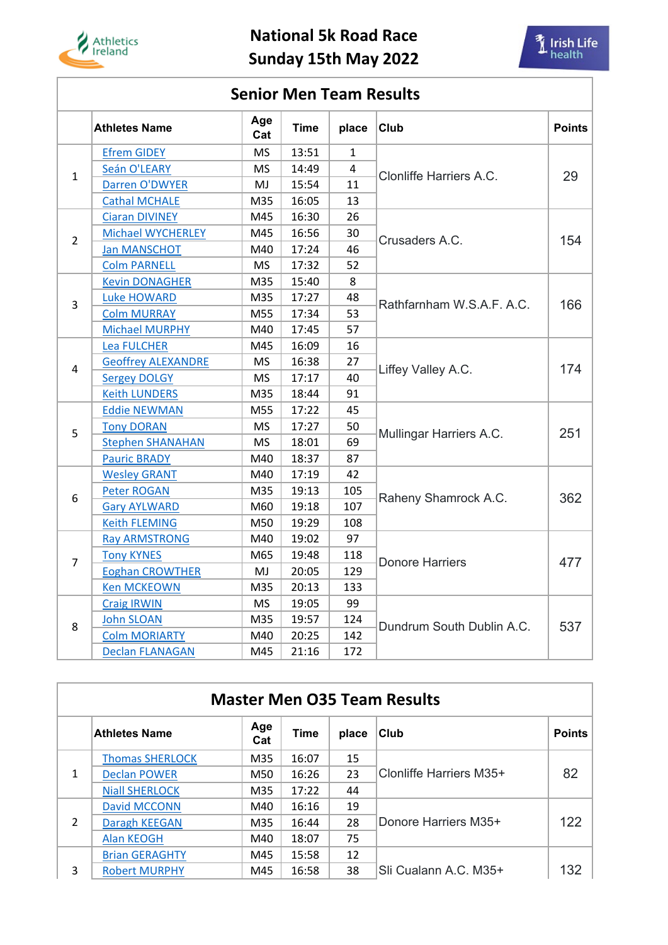

## **National 5k Road Race Sunday 15th May 2022**



## **Senior Men Team Results**

|                | <b>Athletes Name</b>      | Age<br>Cat | <b>Time</b> | place | Club                      | <b>Points</b> |
|----------------|---------------------------|------------|-------------|-------|---------------------------|---------------|
| $\mathbf{1}$   | <b>Efrem GIDEY</b>        | <b>MS</b>  | 13:51       | 1     | Clonliffe Harriers A.C.   | 29            |
|                | Seán O'LEARY              | <b>MS</b>  | 14:49       | 4     |                           |               |
|                | Darren O'DWYER            | MJ         | 15:54       | 11    |                           |               |
|                | <b>Cathal MCHALE</b>      | M35        | 16:05       | 13    |                           |               |
| $\overline{2}$ | <b>Ciaran DIVINEY</b>     | M45        | 16:30       | 26    | Crusaders A.C.            | 154           |
|                | <b>Michael WYCHERLEY</b>  | M45        | 16:56       | 30    |                           |               |
|                | <b>Jan MANSCHOT</b>       | M40        | 17:24       | 46    |                           |               |
|                | <b>Colm PARNELL</b>       | <b>MS</b>  | 17:32       | 52    |                           |               |
|                | <b>Kevin DONAGHER</b>     | M35        | 15:40       | 8     |                           | 166           |
| 3              | <b>Luke HOWARD</b>        | M35        | 17:27       | 48    | Rathfarnham W.S.A.F. A.C. |               |
|                | <b>Colm MURRAY</b>        | M55        | 17:34       | 53    |                           |               |
|                | <b>Michael MURPHY</b>     | M40        | 17:45       | 57    |                           |               |
|                | <b>Lea FULCHER</b>        | M45        | 16:09       | 16    | Liffey Valley A.C.        | 174           |
|                | <b>Geoffrey ALEXANDRE</b> | <b>MS</b>  | 16:38       | 27    |                           |               |
| 4              | <b>Sergey DOLGY</b>       | <b>MS</b>  | 17:17       | 40    |                           |               |
|                | <b>Keith LUNDERS</b>      | M35        | 18:44       | 91    |                           |               |
|                | <b>Eddie NEWMAN</b>       | M55        | 17:22       | 45    | Mullingar Harriers A.C.   | 251           |
| 5              | <b>Tony DORAN</b>         | <b>MS</b>  | 17:27       | 50    |                           |               |
|                | <b>Stephen SHANAHAN</b>   | <b>MS</b>  | 18:01       | 69    |                           |               |
|                | <b>Pauric BRADY</b>       | M40        | 18:37       | 87    |                           |               |
|                | <b>Wesley GRANT</b>       | M40        | 17:19       | 42    | Raheny Shamrock A.C.      | 362           |
| 6              | <b>Peter ROGAN</b>        | M35        | 19:13       | 105   |                           |               |
|                | <b>Gary AYLWARD</b>       | M60        | 19:18       | 107   |                           |               |
|                | <b>Keith FLEMING</b>      | M50        | 19:29       | 108   |                           |               |
| $\overline{7}$ | <b>Ray ARMSTRONG</b>      | M40        | 19:02       | 97    | <b>Donore Harriers</b>    | 477           |
|                | <b>Tony KYNES</b>         | M65        | 19:48       | 118   |                           |               |
|                | <b>Eoghan CROWTHER</b>    | MJ         | 20:05       | 129   |                           |               |
|                | <b>Ken MCKEOWN</b>        | M35        | 20:13       | 133   |                           |               |
| 8              | <b>Craig IRWIN</b>        | <b>MS</b>  | 19:05       | 99    | Dundrum South Dublin A.C. | 537           |
|                | <b>John SLOAN</b>         | M35        | 19:57       | 124   |                           |               |
|                | <b>Colm MORIARTY</b>      | M40        | 20:25       | 142   |                           |               |
|                | <b>Declan FLANAGAN</b>    | M45        | 21:16       | 172   |                           |               |

| <b>Master Men O35 Team Results</b> |                        |            |             |       |                         |               |  |  |
|------------------------------------|------------------------|------------|-------------|-------|-------------------------|---------------|--|--|
|                                    | <b>Athletes Name</b>   | Age<br>Cat | <b>Time</b> | place | Club                    | <b>Points</b> |  |  |
| 1                                  | <b>Thomas SHERLOCK</b> | M35        | 16:07       | 15    | Clonliffe Harriers M35+ | 82            |  |  |
|                                    | <b>Declan POWER</b>    | M50        | 16:26       | 23    |                         |               |  |  |
|                                    | <b>Niall SHERLOCK</b>  | M35        | 17:22       | 44    |                         |               |  |  |
| 2                                  | David MCCONN           | M40        | 16:16       | 19    | Donore Harriers M35+    | 122           |  |  |
|                                    | Daragh KEEGAN          | M35        | 16:44       | 28    |                         |               |  |  |
|                                    | <b>Alan KEOGH</b>      | M40        | 18:07       | 75    |                         |               |  |  |
| 3                                  | <b>Brian GERAGHTY</b>  | M45        | 15:58       | 12    |                         |               |  |  |
|                                    | <b>Robert MURPHY</b>   | M45        | 16:58       | 38    | Sli Cualann A.C. M35+   | 132           |  |  |